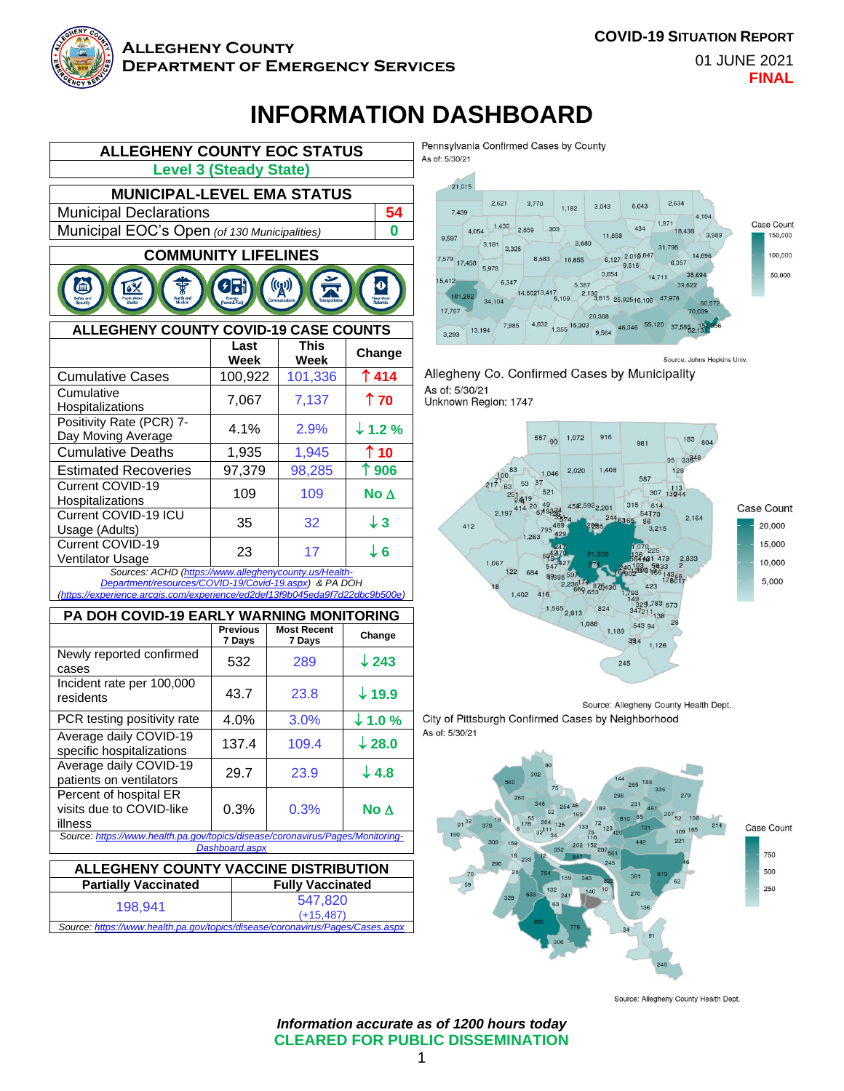

Current COVID-19

Current COVID-19

Current COVID-19 ICU

Incident rate per 100,000

Average daily COVID-19

Average daily COVID-19

Percent of hospital ER visits due to COVID-like

illness

#### **Allegheny County Department of Emergency Services**

**COVID-19 SITUATION REPORT**

01 JUNE 2021 **FINAL**

# **INFORMATION DASHBOARD**



Cumulative Deaths 1,935 1,945 **10** Estimated Recoveries | 97,379 | 98,285 | 1**906** 

Hospitalizations <sup>109</sup> <sup>109</sup> **No** 

Usage (Adults)  $35 \begin{array}{|l} \big| 32 \big| 43 \end{array}$ 

Ventilator Usage <sup>23</sup> <sup>17</sup> **<sup>6</sup>** Sources: ACHD (https://www.alleghenycounty.us/ *Department/resources/COVID-19/Covid-19.aspx) & PA DOH (https://experience.arcgis.com/experience/ed2def13f9b045eda9f7d22dbc9b500e)*

**PA DOH COVID-19 EARLY WARNING MONITORING Previous 7 Days**

Newly reported confirmed **| 532 | 289 | ↓243**<br>cases

residents 43.7 23.8 **19.9 PCR testing positivity rate | 4.0% | 3.0% |**  $\downarrow$  **1.0 %** 

Average dally COVID-19<br>specific hospitalizations | 137.4 | 109.4 **| ↓28.0** 

Patients on ventilators 29.7 23.9 **↓4.8** 

*Source: https://www.health.pa.gov/topics/disease/coronavirus/Pages/Monitoring-Dashboard.aspx* **ALLEGHENY COUNTY VACCINE DISTRIBUTION Partially Vaccinated Fully Vaccinated** 198,941 547,820

*Source: https://www.health.pa.gov/topics/disease/coronavirus/Pages/Cases.aspx*

**Most Recent** 

0.3% 0.3% **No** 

(+15,487)

**7 Days Change**

Pennsylvania Confirmed Cases by County As of: 5/30/21



Allegheny Co. Confirmed Cases by Municipality As of: 5/30/21 Unknown Region: 1747



Source: Allegheny County Health Dept.

City of Pittsburgh Confirmed Cases by Neighborhood As of: 5/30/21



Source: Allegheny County Health Dept.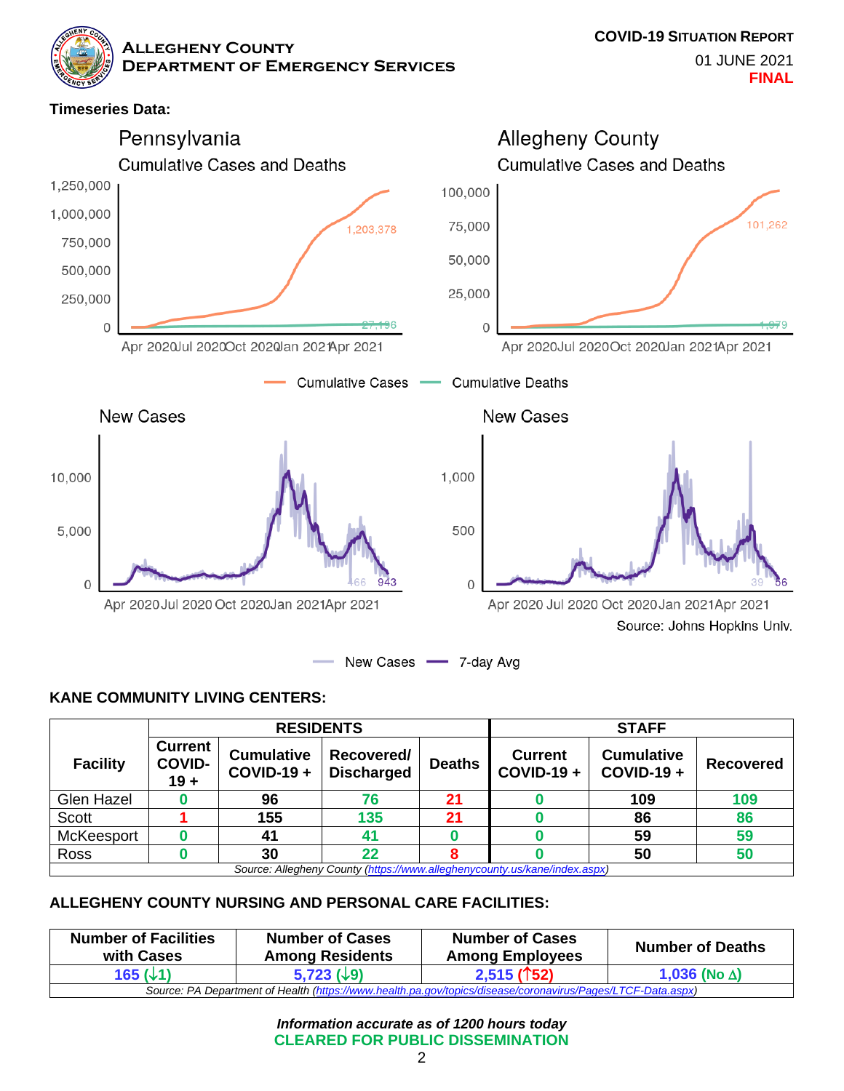**Timeseries Data:**



## **KANE COMMUNITY LIVING CENTERS:**

|                                                                           | <b>RESIDENTS</b>                          |                                   |                                 | <b>STAFF</b>  |                                     |                                   |           |
|---------------------------------------------------------------------------|-------------------------------------------|-----------------------------------|---------------------------------|---------------|-------------------------------------|-----------------------------------|-----------|
| <b>Facility</b>                                                           | <b>Current</b><br><b>COVID-</b><br>$19 +$ | <b>Cumulative</b><br>$COVID-19 +$ | Recovered/<br><b>Discharged</b> | <b>Deaths</b> | <b>Current</b><br><b>COVID-19 +</b> | <b>Cumulative</b><br>$COVID-19 +$ | Recovered |
| Glen Hazel                                                                |                                           | 96                                | 76                              | 21            |                                     | 109                               | 109       |
| <b>Scott</b>                                                              |                                           | 155                               | 135                             | 21            |                                     | 86                                | 86        |
| McKeesport                                                                |                                           | 41                                |                                 |               |                                     | 59                                | 59        |
| Ross                                                                      |                                           | 30                                | 22                              |               |                                     | 50                                | 50        |
| Source: Allegheny County (https://www.alleghenycounty.us/kane/index.aspx) |                                           |                                   |                                 |               |                                     |                                   |           |

#### **ALLEGHENY COUNTY NURSING AND PERSONAL CARE FACILITIES:**

| <b>Number of Facilities</b><br><b>Number of Cases</b><br>with Cases<br><b>Among Residents</b>               |  | <b>Number of Cases</b><br><b>Among Employees</b> | <b>Number of Deaths</b> |  |  |  |
|-------------------------------------------------------------------------------------------------------------|--|--------------------------------------------------|-------------------------|--|--|--|
| 165 (↓1`<br>$5,723$ ( $\downarrow$ 9)                                                                       |  | $2,515($ 152)                                    | 1,036 (No $\Delta$ )    |  |  |  |
| Source: PA Department of Health (https://www.health.pa.gov/topics/disease/coronavirus/Pages/LTCF-Data.aspx) |  |                                                  |                         |  |  |  |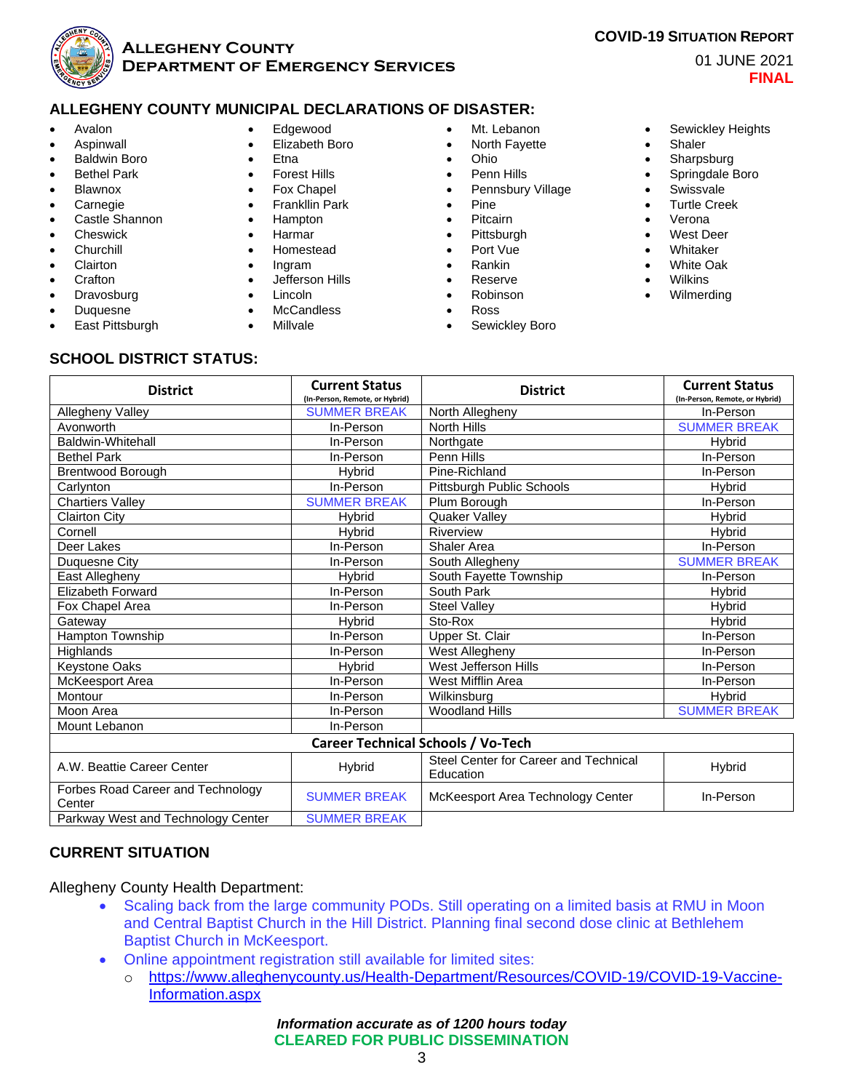

#### **ALLEGHENY COUNTY MUNICIPAL DECLARATIONS OF DISASTER:**

- Avalon
- **Aspinwall**
- Baldwin Boro
- **Bethel Park**
- **Blawnox**
- **Carnegie**
- Castle Shannon
- **Cheswick**
- **Churchill**
- **Clairton**
- **Crafton**
- **Dravosburg**
- Duquesne
- East Pittsburgh
- Edgewood
- Elizabeth Boro
- Etna
- **Forest Hills**
- Fox Chapel
- Frankllin Park
- Hampton
- Harmar
- Homestead
- Ingram
- Jefferson Hills
- Lincoln
- **McCandless**
- Millvale

**District Current Status**

- Mt. Lebanon
- North Fayette
- Ohio
- Penn Hills
- Pennsbury Village
- Pine
- Pitcairn
- Pittsburgh
- Port Vue
- Rankin
- Reserve
- Robinson
- Ross
- Sewickley Boro

• Sewickley Heights

01 JUNE 2021

**FINAL**

- **Shaler**
- Sharpsburg
- Springdale Boro
- **Swissvale**
- Turtle Creek
- Verona
- West Deer
- **Whitaker**
- White Oak
- **Wilkins**

**District Current Status**

• Wilmerding

**SCHOOL DISTRICT STATUS:**

|                                             | (In-Person, Remote, or Hybrid)            |                                                    | (In-Person, Remote, or Hybrid) |
|---------------------------------------------|-------------------------------------------|----------------------------------------------------|--------------------------------|
| Allegheny Valley                            | <b>SUMMER BREAK</b>                       | North Allegheny                                    | In-Person                      |
| Avonworth                                   | In-Person                                 | <b>North Hills</b>                                 | <b>SUMMER BREAK</b>            |
| Baldwin-Whitehall                           | In-Person                                 | Northgate                                          | <b>H</b> ybrid                 |
| <b>Bethel Park</b>                          | In-Person                                 | Penn Hills                                         | In-Person                      |
| <b>Brentwood Borough</b>                    | Hybrid                                    | Pine-Richland                                      | In-Person                      |
| Carlynton                                   | In-Person                                 | Pittsburgh Public Schools                          | Hybrid                         |
| <b>Chartiers Valley</b>                     | <b>SUMMER BREAK</b>                       | Plum Borough                                       | In-Person                      |
| <b>Clairton City</b>                        | <b>H</b> vbrid                            | <b>Quaker Valley</b>                               | <b>H</b> vbrid                 |
| Cornell                                     | <b>H</b> vbrid                            | Riverview                                          | Hybrid                         |
| Deer Lakes                                  | In-Person                                 | <b>Shaler Area</b>                                 | In-Person                      |
| Duquesne City                               | In-Person                                 | South Allegheny                                    | <b>SUMMER BREAK</b>            |
| East Allegheny                              | <b>H</b> vbrid                            | South Fayette Township                             | In-Person                      |
| <b>Elizabeth Forward</b>                    | In-Person                                 | South Park                                         | <b>H</b> vbrid                 |
| Fox Chapel Area                             | In-Person                                 | <b>Steel Valley</b>                                | Hybrid                         |
| Gateway                                     | Hybrid                                    | Sto-Rox                                            | <b>H</b> ybrid                 |
| <b>Hampton Township</b>                     | In-Person                                 | Upper St. Clair                                    | In-Person                      |
| Highlands                                   | In-Person                                 | West Allegheny                                     | In-Person                      |
| <b>Keystone Oaks</b>                        | <b>H</b> vbrid                            | West Jefferson Hills                               | In-Person                      |
| McKeesport Area                             | In-Person                                 | West Mifflin Area                                  | In-Person                      |
| Montour                                     | In-Person                                 | Wilkinsburg                                        | Hybrid                         |
| Moon Area                                   | In-Person                                 | <b>Woodland Hills</b>                              | <b>SUMMER BREAK</b>            |
| Mount Lebanon                               | In-Person                                 |                                                    |                                |
|                                             | <b>Career Technical Schools / Vo-Tech</b> |                                                    |                                |
| A.W. Beattie Career Center                  | Hybrid                                    | Steel Center for Career and Technical<br>Education | Hybrid                         |
| Forbes Road Career and Technology<br>Center | <b>SUMMER BREAK</b>                       | McKeesport Area Technology Center                  | In-Person                      |
| Parkway West and Technology Center          | <b>SUMMER BREAK</b>                       |                                                    |                                |

## **CURRENT SITUATION**

Allegheny County Health Department:

- Scaling back from the large community PODs. Still operating on a limited basis at RMU in Moon and Central Baptist Church in the Hill District. Planning final second dose clinic at Bethlehem Baptist Church in McKeesport.
- Online appointment registration still available for limited sites:
	- o https://www.alleghenycounty.us/Health-Department/Resources/COVID-19/COVID-19-Vaccine-Information.aspx

*Information accurate as of 1200 hours today* **CLEARED FOR PUBLIC DISSEMINATION** **COVID-19 SITUATION REPORT**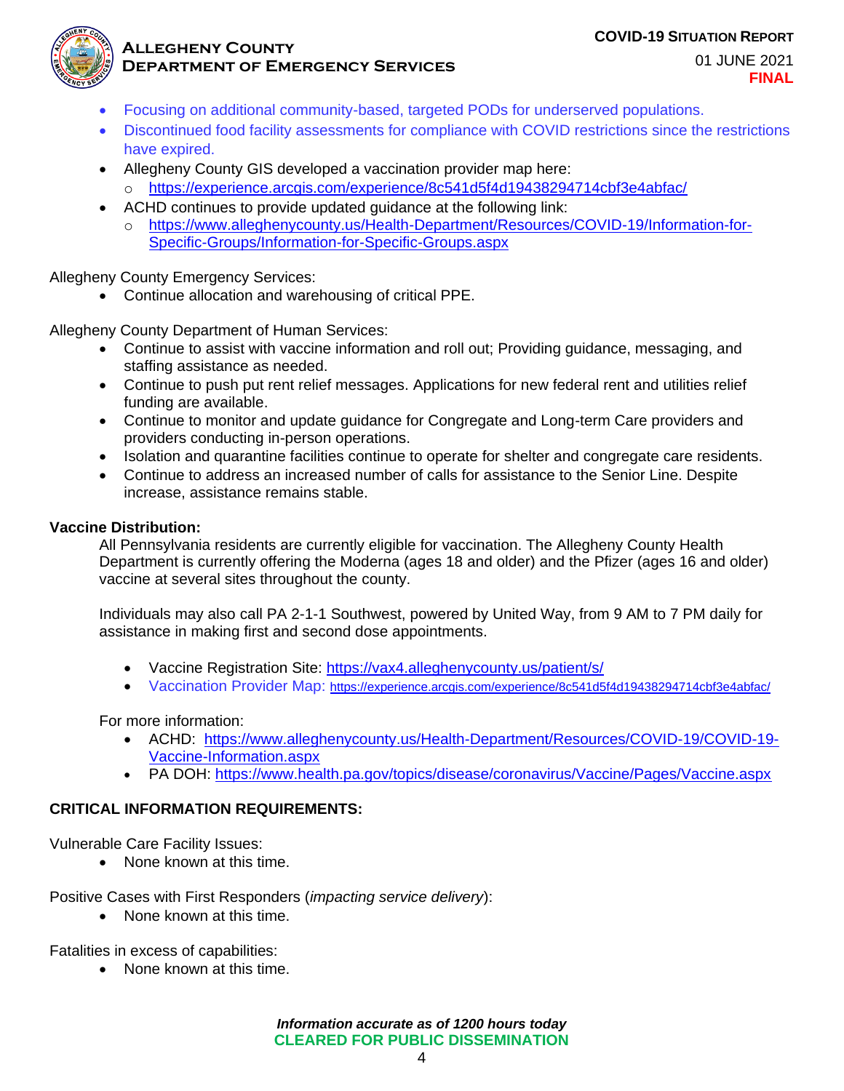#### **COVID-19 SITUATION REPORT**



#### **Allegheny County Department of Emergency Services**

01 JUNE 2021 **FINAL**

- Focusing on additional community-based, targeted PODs for underserved populations.
- Discontinued food facility assessments for compliance with COVID restrictions since the restrictions have expired.
- Allegheny County GIS developed a vaccination provider map here:
	- o https://experience.arcgis.com/experience/8c541d5f4d19438294714cbf3e4abfac/
- ACHD continues to provide updated guidance at the following link:
	- o https://www.alleghenycounty.us/Health-Department/Resources/COVID-19/Information-for-Specific-Groups/Information-for-Specific-Groups.aspx

Allegheny County Emergency Services:

• Continue allocation and warehousing of critical PPE.

Allegheny County Department of Human Services:

- Continue to assist with vaccine information and roll out; Providing guidance, messaging, and staffing assistance as needed.
- Continue to push put rent relief messages. Applications for new federal rent and utilities relief funding are available.
- Continue to monitor and update guidance for Congregate and Long-term Care providers and providers conducting in-person operations.
- Isolation and quarantine facilities continue to operate for shelter and congregate care residents.
- Continue to address an increased number of calls for assistance to the Senior Line. Despite increase, assistance remains stable.

#### **Vaccine Distribution:**

All Pennsylvania residents are currently eligible for vaccination. The Allegheny County Health Department is currently offering the Moderna (ages 18 and older) and the Pfizer (ages 16 and older) vaccine at several sites throughout the county.

Individuals may also call PA 2-1-1 Southwest, powered by United Way, from 9 AM to 7 PM daily for assistance in making first and second dose appointments.

- Vaccine Registration Site: https://vax4.alleghenycounty.us/patient/s/
- Vaccination Provider Map: https://experience.arcgis.com/experience/8c541d5f4d19438294714cbf3e4abfac/

For more information:

- ACHD: https://www.alleghenycounty.us/Health-Department/Resources/COVID-19/COVID-19- Vaccine-Information.aspx
- PA DOH: https://www.health.pa.gov/topics/disease/coronavirus/Vaccine/Pages/Vaccine.aspx

## **CRITICAL INFORMATION REQUIREMENTS:**

Vulnerable Care Facility Issues:

• None known at this time.

Positive Cases with First Responders (*impacting service delivery*):

• None known at this time.

Fatalities in excess of capabilities:

• None known at this time.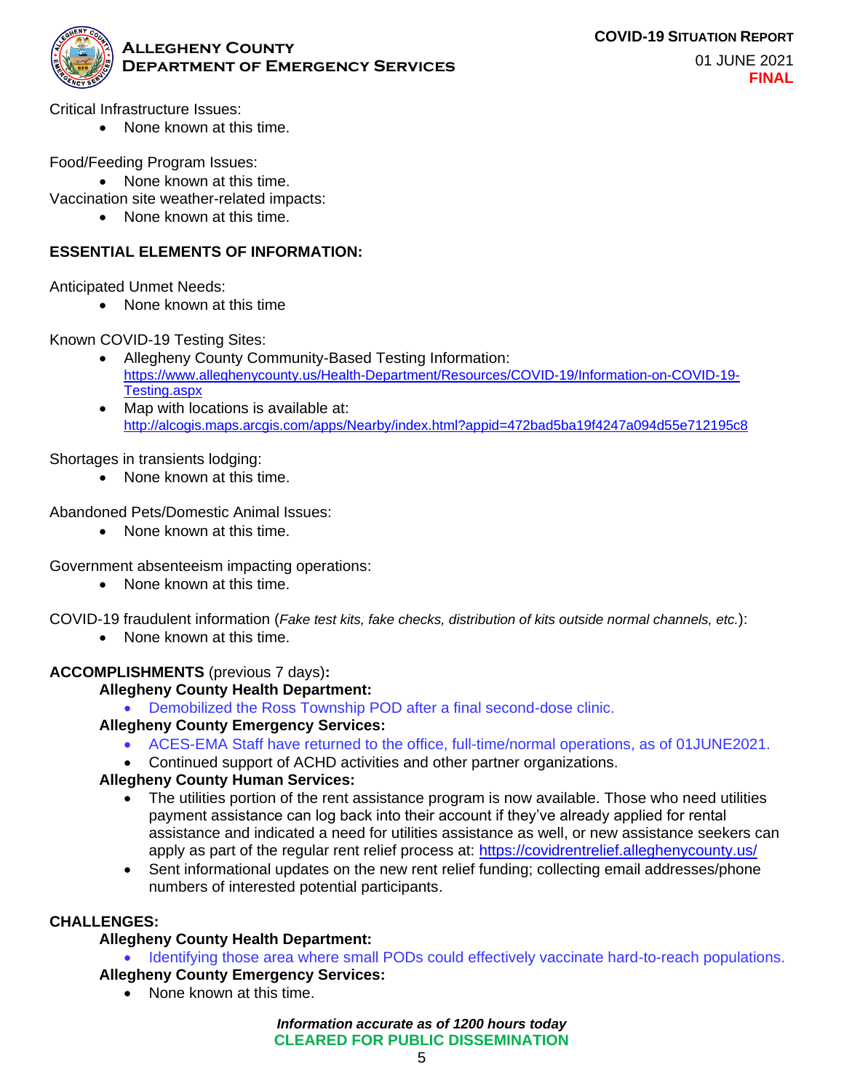

Critical Infrastructure Issues:

• None known at this time.

Food/Feeding Program Issues:

• None known at this time.

Vaccination site weather-related impacts:

• None known at this time.

#### **ESSENTIAL ELEMENTS OF INFORMATION:**

Anticipated Unmet Needs:

• None known at this time

Known COVID-19 Testing Sites:

- Allegheny County Community-Based Testing Information: https://www.alleghenycounty.us/Health-Department/Resources/COVID-19/Information-on-COVID-19- Testing.aspx
- Map with locations is available at: http://alcogis.maps.arcgis.com/apps/Nearby/index.html?appid=472bad5ba19f4247a094d55e712195c8

Shortages in transients lodging:

• None known at this time.

Abandoned Pets/Domestic Animal Issues:

• None known at this time.

Government absenteeism impacting operations:

• None known at this time.

COVID-19 fraudulent information (*Fake test kits, fake checks, distribution of kits outside normal channels, etc.*):

• None known at this time.

#### **ACCOMPLISHMENTS** (previous 7 days)**:**

#### **Allegheny County Health Department:**

• Demobilized the Ross Township POD after a final second-dose clinic.

#### **Allegheny County Emergency Services:**

- ACES-EMA Staff have returned to the office, full-time/normal operations, as of 01JUNE2021.
- Continued support of ACHD activities and other partner organizations.

#### **Allegheny County Human Services:**

- The utilities portion of the rent assistance program is now available. Those who need utilities payment assistance can log back into their account if they've already applied for rental assistance and indicated a need for utilities assistance as well, or new assistance seekers can apply as part of the regular rent relief process at: https://covidrentrelief.alleghenycounty.us/
- Sent informational updates on the new rent relief funding; collecting email addresses/phone numbers of interested potential participants.

#### **CHALLENGES:**

#### **Allegheny County Health Department:**

• Identifying those area where small PODs could effectively vaccinate hard-to-reach populations.

- **Allegheny County Emergency Services:**
	- None known at this time.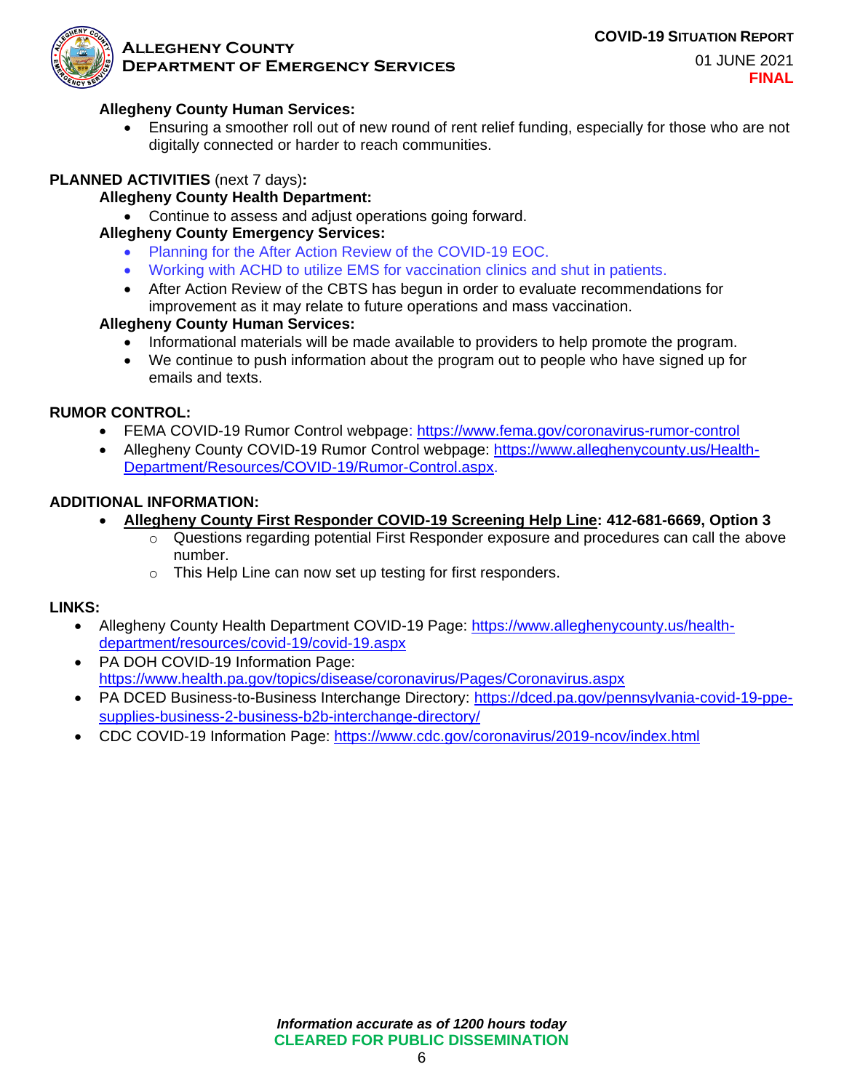**COVID-19 SITUATION REPORT**



#### **Allegheny County Department of Emergency Services**

01 JUNE 2021 **FINAL**

#### **Allegheny County Human Services:**

• Ensuring a smoother roll out of new round of rent relief funding, especially for those who are not digitally connected or harder to reach communities.

#### **PLANNED ACTIVITIES** (next 7 days)**:**

#### **Allegheny County Health Department:**

• Continue to assess and adjust operations going forward.

## **Allegheny County Emergency Services:**

- Planning for the After Action Review of the COVID-19 EOC.
- Working with ACHD to utilize EMS for vaccination clinics and shut in patients.
- After Action Review of the CBTS has begun in order to evaluate recommendations for improvement as it may relate to future operations and mass vaccination.

#### **Allegheny County Human Services:**

- Informational materials will be made available to providers to help promote the program.
- We continue to push information about the program out to people who have signed up for emails and texts.

#### **RUMOR CONTROL:**

- FEMA COVID-19 Rumor Control webpage: https://www.fema.gov/coronavirus-rumor-control
- Allegheny County COVID-19 Rumor Control webpage: https://www.alleghenycounty.us/Health-Department/Resources/COVID-19/Rumor-Control.aspx.

#### **ADDITIONAL INFORMATION:**

- **Allegheny County First Responder COVID-19 Screening Help Line: 412-681-6669, Option 3**
	- Questions regarding potential First Responder exposure and procedures can call the above number.
	- o This Help Line can now set up testing for first responders.

#### **LINKS:**

- Allegheny County Health Department COVID-19 Page: https://www.alleghenycounty.us/healthdepartment/resources/covid-19/covid-19.aspx
- PA DOH COVID-19 Information Page: https://www.health.pa.gov/topics/disease/coronavirus/Pages/Coronavirus.aspx
- PA DCED Business-to-Business Interchange Directory: https://dced.pa.gov/pennsylvania-covid-19-ppesupplies-business-2-business-b2b-interchange-directory/
- CDC COVID-19 Information Page: https://www.cdc.gov/coronavirus/2019-ncov/index.html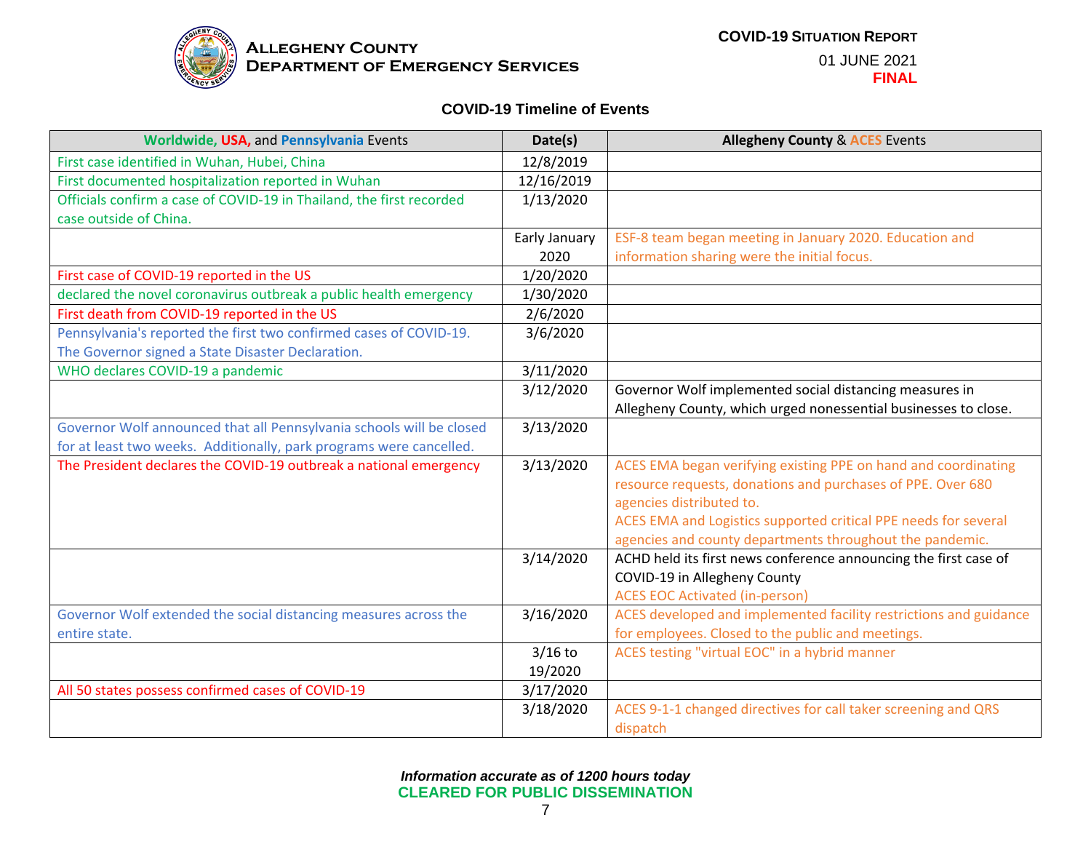

01 JUNE 2021 **FINAL**

#### **COVID-19 Timeline of Events**

| Worldwide, USA, and Pennsylvania Events                              | Date(s)       | <b>Allegheny County &amp; ACES Events</b>                         |
|----------------------------------------------------------------------|---------------|-------------------------------------------------------------------|
| First case identified in Wuhan, Hubei, China                         | 12/8/2019     |                                                                   |
| First documented hospitalization reported in Wuhan                   | 12/16/2019    |                                                                   |
| Officials confirm a case of COVID-19 in Thailand, the first recorded | 1/13/2020     |                                                                   |
| case outside of China.                                               |               |                                                                   |
|                                                                      | Early January | ESF-8 team began meeting in January 2020. Education and           |
|                                                                      | 2020          | information sharing were the initial focus.                       |
| First case of COVID-19 reported in the US                            | 1/20/2020     |                                                                   |
| declared the novel coronavirus outbreak a public health emergency    | 1/30/2020     |                                                                   |
| First death from COVID-19 reported in the US                         | 2/6/2020      |                                                                   |
| Pennsylvania's reported the first two confirmed cases of COVID-19.   | 3/6/2020      |                                                                   |
| The Governor signed a State Disaster Declaration.                    |               |                                                                   |
| WHO declares COVID-19 a pandemic                                     | 3/11/2020     |                                                                   |
|                                                                      | 3/12/2020     | Governor Wolf implemented social distancing measures in           |
|                                                                      |               | Allegheny County, which urged nonessential businesses to close.   |
| Governor Wolf announced that all Pennsylvania schools will be closed | 3/13/2020     |                                                                   |
| for at least two weeks. Additionally, park programs were cancelled.  |               |                                                                   |
| The President declares the COVID-19 outbreak a national emergency    | 3/13/2020     | ACES EMA began verifying existing PPE on hand and coordinating    |
|                                                                      |               | resource requests, donations and purchases of PPE. Over 680       |
|                                                                      |               | agencies distributed to.                                          |
|                                                                      |               | ACES EMA and Logistics supported critical PPE needs for several   |
|                                                                      |               | agencies and county departments throughout the pandemic.          |
|                                                                      | 3/14/2020     | ACHD held its first news conference announcing the first case of  |
|                                                                      |               | COVID-19 in Allegheny County                                      |
|                                                                      |               | <b>ACES EOC Activated (in-person)</b>                             |
| Governor Wolf extended the social distancing measures across the     | 3/16/2020     | ACES developed and implemented facility restrictions and guidance |
| entire state.                                                        |               | for employees. Closed to the public and meetings.                 |
|                                                                      | $3/16$ to     | ACES testing "virtual EOC" in a hybrid manner                     |
|                                                                      | 19/2020       |                                                                   |
| All 50 states possess confirmed cases of COVID-19                    | 3/17/2020     |                                                                   |
|                                                                      | 3/18/2020     | ACES 9-1-1 changed directives for call taker screening and QRS    |
|                                                                      |               | dispatch                                                          |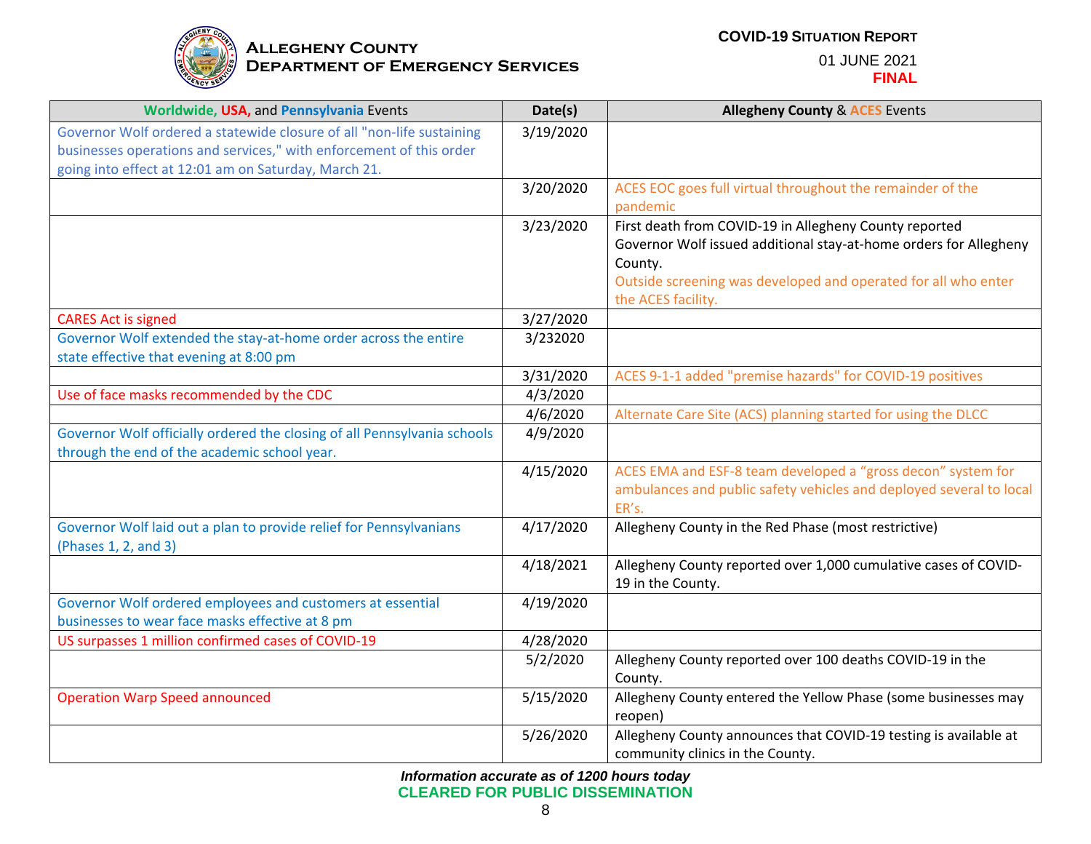

| Worldwide, USA, and Pennsylvania Events                                  | Date(s)   | <b>Allegheny County &amp; ACES Events</b>                                 |
|--------------------------------------------------------------------------|-----------|---------------------------------------------------------------------------|
| Governor Wolf ordered a statewide closure of all "non-life sustaining    | 3/19/2020 |                                                                           |
| businesses operations and services," with enforcement of this order      |           |                                                                           |
| going into effect at 12:01 am on Saturday, March 21.                     |           |                                                                           |
|                                                                          | 3/20/2020 | ACES EOC goes full virtual throughout the remainder of the                |
|                                                                          |           | pandemic                                                                  |
|                                                                          | 3/23/2020 | First death from COVID-19 in Allegheny County reported                    |
|                                                                          |           | Governor Wolf issued additional stay-at-home orders for Allegheny         |
|                                                                          |           | County.<br>Outside screening was developed and operated for all who enter |
|                                                                          |           | the ACES facility.                                                        |
| <b>CARES Act is signed</b>                                               | 3/27/2020 |                                                                           |
| Governor Wolf extended the stay-at-home order across the entire          | 3/232020  |                                                                           |
| state effective that evening at 8:00 pm                                  |           |                                                                           |
|                                                                          | 3/31/2020 | ACES 9-1-1 added "premise hazards" for COVID-19 positives                 |
| Use of face masks recommended by the CDC                                 | 4/3/2020  |                                                                           |
|                                                                          | 4/6/2020  | Alternate Care Site (ACS) planning started for using the DLCC             |
| Governor Wolf officially ordered the closing of all Pennsylvania schools | 4/9/2020  |                                                                           |
| through the end of the academic school year.                             |           |                                                                           |
|                                                                          | 4/15/2020 | ACES EMA and ESF-8 team developed a "gross decon" system for              |
|                                                                          |           | ambulances and public safety vehicles and deployed several to local       |
|                                                                          |           | ER's.                                                                     |
| Governor Wolf laid out a plan to provide relief for Pennsylvanians       | 4/17/2020 | Allegheny County in the Red Phase (most restrictive)                      |
| (Phases 1, 2, and 3)                                                     | 4/18/2021 | Allegheny County reported over 1,000 cumulative cases of COVID-           |
|                                                                          |           | 19 in the County.                                                         |
| Governor Wolf ordered employees and customers at essential               | 4/19/2020 |                                                                           |
| businesses to wear face masks effective at 8 pm                          |           |                                                                           |
| US surpasses 1 million confirmed cases of COVID-19                       | 4/28/2020 |                                                                           |
|                                                                          | 5/2/2020  | Allegheny County reported over 100 deaths COVID-19 in the                 |
|                                                                          |           | County.                                                                   |
| <b>Operation Warp Speed announced</b>                                    | 5/15/2020 | Allegheny County entered the Yellow Phase (some businesses may            |
|                                                                          |           | reopen)                                                                   |
|                                                                          | 5/26/2020 | Allegheny County announces that COVID-19 testing is available at          |
|                                                                          |           | community clinics in the County.                                          |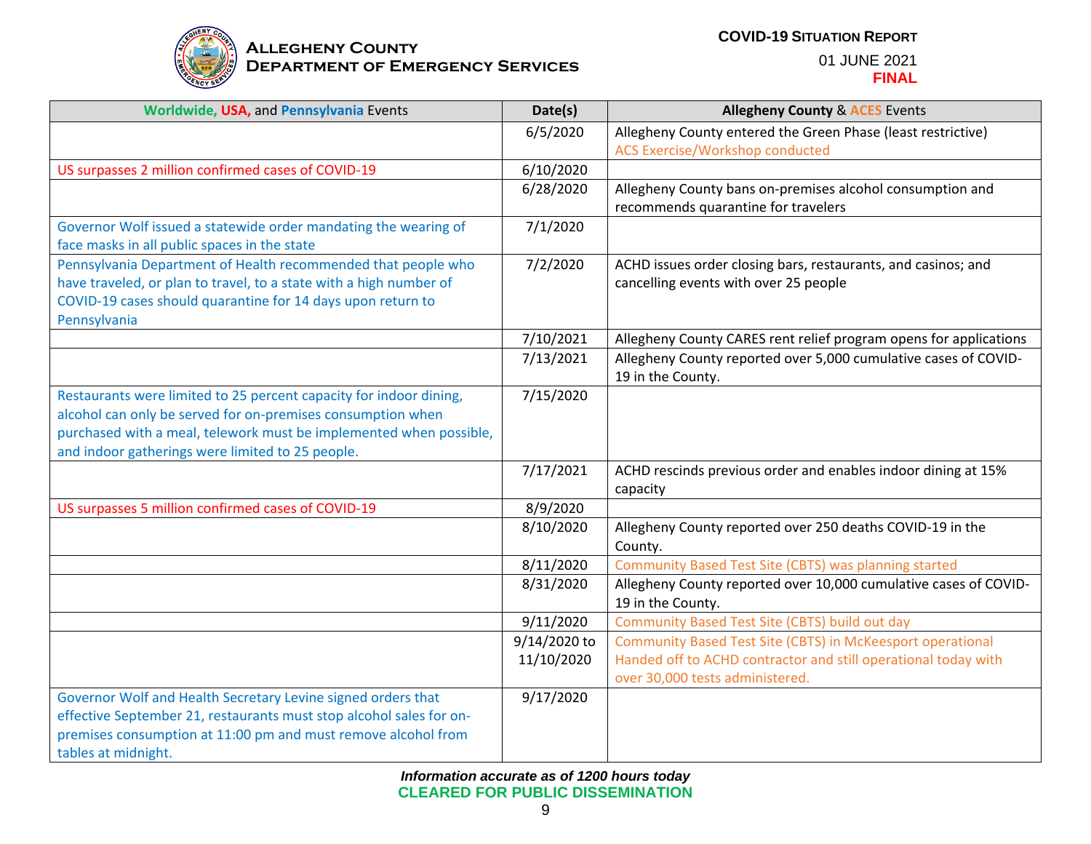

#### **COVID-19 SITUATION REPORT**

| Worldwide, USA, and Pennsylvania Events                                     | Date(s)      | <b>Allegheny County &amp; ACES Events</b>                                             |
|-----------------------------------------------------------------------------|--------------|---------------------------------------------------------------------------------------|
|                                                                             | 6/5/2020     | Allegheny County entered the Green Phase (least restrictive)                          |
|                                                                             |              | <b>ACS Exercise/Workshop conducted</b>                                                |
| US surpasses 2 million confirmed cases of COVID-19                          | 6/10/2020    |                                                                                       |
|                                                                             | 6/28/2020    | Allegheny County bans on-premises alcohol consumption and                             |
|                                                                             |              | recommends quarantine for travelers                                                   |
| Governor Wolf issued a statewide order mandating the wearing of             | 7/1/2020     |                                                                                       |
| face masks in all public spaces in the state                                |              |                                                                                       |
| Pennsylvania Department of Health recommended that people who               | 7/2/2020     | ACHD issues order closing bars, restaurants, and casinos; and                         |
| have traveled, or plan to travel, to a state with a high number of          |              | cancelling events with over 25 people                                                 |
| COVID-19 cases should quarantine for 14 days upon return to<br>Pennsylvania |              |                                                                                       |
|                                                                             | 7/10/2021    | Allegheny County CARES rent relief program opens for applications                     |
|                                                                             | 7/13/2021    | Allegheny County reported over 5,000 cumulative cases of COVID-                       |
|                                                                             |              | 19 in the County.                                                                     |
| Restaurants were limited to 25 percent capacity for indoor dining,          | 7/15/2020    |                                                                                       |
| alcohol can only be served for on-premises consumption when                 |              |                                                                                       |
| purchased with a meal, telework must be implemented when possible,          |              |                                                                                       |
| and indoor gatherings were limited to 25 people.                            |              |                                                                                       |
|                                                                             | 7/17/2021    | ACHD rescinds previous order and enables indoor dining at 15%                         |
|                                                                             |              | capacity                                                                              |
| US surpasses 5 million confirmed cases of COVID-19                          | 8/9/2020     |                                                                                       |
|                                                                             | 8/10/2020    | Allegheny County reported over 250 deaths COVID-19 in the                             |
|                                                                             |              | County.                                                                               |
|                                                                             | 8/11/2020    | Community Based Test Site (CBTS) was planning started                                 |
|                                                                             | 8/31/2020    | Allegheny County reported over 10,000 cumulative cases of COVID-<br>19 in the County. |
|                                                                             | 9/11/2020    | Community Based Test Site (CBTS) build out day                                        |
|                                                                             | 9/14/2020 to | Community Based Test Site (CBTS) in McKeesport operational                            |
|                                                                             | 11/10/2020   | Handed off to ACHD contractor and still operational today with                        |
|                                                                             |              | over 30,000 tests administered.                                                       |
| Governor Wolf and Health Secretary Levine signed orders that                | 9/17/2020    |                                                                                       |
| effective September 21, restaurants must stop alcohol sales for on-         |              |                                                                                       |
| premises consumption at 11:00 pm and must remove alcohol from               |              |                                                                                       |
| tables at midnight.                                                         |              |                                                                                       |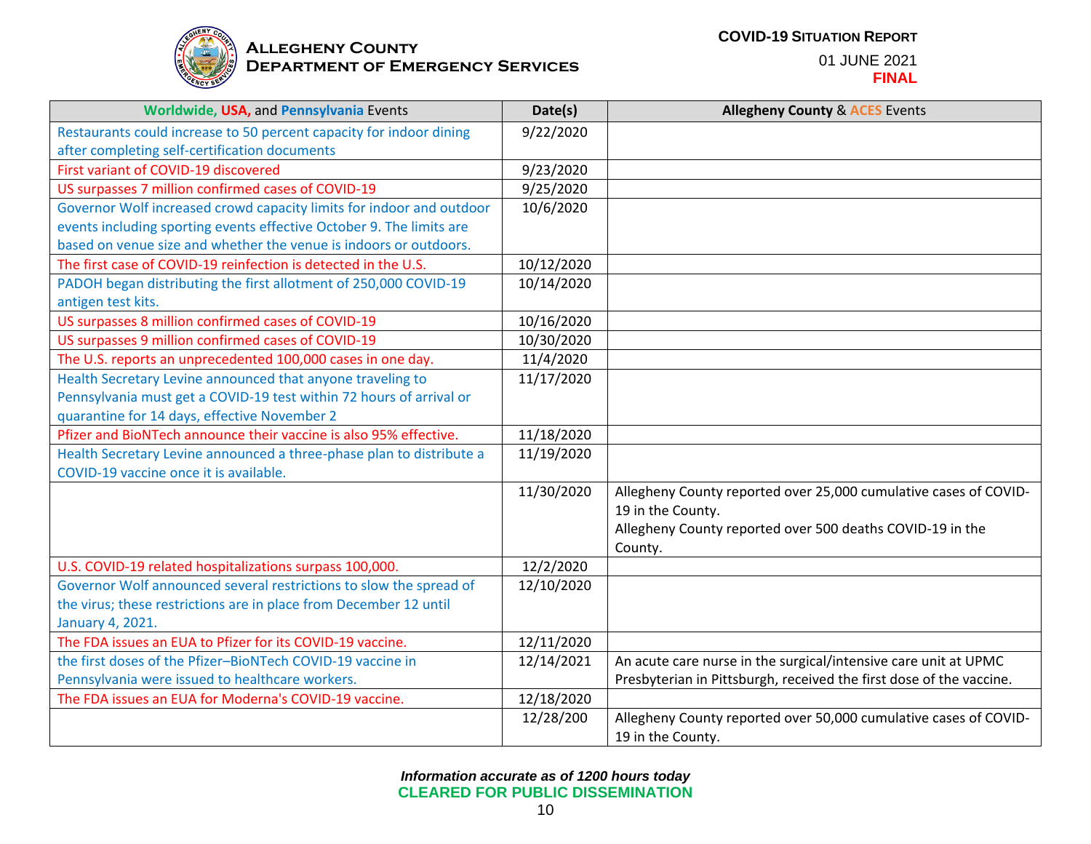

| Worldwide, USA, and Pennsylvania Events                              | Date(s)    | <b>Allegheny County &amp; ACES Events</b>                           |
|----------------------------------------------------------------------|------------|---------------------------------------------------------------------|
| Restaurants could increase to 50 percent capacity for indoor dining  | 9/22/2020  |                                                                     |
| after completing self-certification documents                        |            |                                                                     |
| First variant of COVID-19 discovered                                 | 9/23/2020  |                                                                     |
| US surpasses 7 million confirmed cases of COVID-19                   | 9/25/2020  |                                                                     |
| Governor Wolf increased crowd capacity limits for indoor and outdoor | 10/6/2020  |                                                                     |
| events including sporting events effective October 9. The limits are |            |                                                                     |
| based on venue size and whether the venue is indoors or outdoors.    |            |                                                                     |
| The first case of COVID-19 reinfection is detected in the U.S.       | 10/12/2020 |                                                                     |
| PADOH began distributing the first allotment of 250,000 COVID-19     | 10/14/2020 |                                                                     |
| antigen test kits.                                                   |            |                                                                     |
| US surpasses 8 million confirmed cases of COVID-19                   | 10/16/2020 |                                                                     |
| US surpasses 9 million confirmed cases of COVID-19                   | 10/30/2020 |                                                                     |
| The U.S. reports an unprecedented 100,000 cases in one day.          | 11/4/2020  |                                                                     |
| Health Secretary Levine announced that anyone traveling to           | 11/17/2020 |                                                                     |
| Pennsylvania must get a COVID-19 test within 72 hours of arrival or  |            |                                                                     |
| quarantine for 14 days, effective November 2                         |            |                                                                     |
| Pfizer and BioNTech announce their vaccine is also 95% effective.    | 11/18/2020 |                                                                     |
| Health Secretary Levine announced a three-phase plan to distribute a | 11/19/2020 |                                                                     |
| COVID-19 vaccine once it is available.                               |            |                                                                     |
|                                                                      | 11/30/2020 | Allegheny County reported over 25,000 cumulative cases of COVID-    |
|                                                                      |            | 19 in the County.                                                   |
|                                                                      |            | Allegheny County reported over 500 deaths COVID-19 in the           |
|                                                                      |            | County.                                                             |
| U.S. COVID-19 related hospitalizations surpass 100,000.              | 12/2/2020  |                                                                     |
| Governor Wolf announced several restrictions to slow the spread of   | 12/10/2020 |                                                                     |
| the virus; these restrictions are in place from December 12 until    |            |                                                                     |
| January 4, 2021.                                                     |            |                                                                     |
| The FDA issues an EUA to Pfizer for its COVID-19 vaccine.            | 12/11/2020 |                                                                     |
| the first doses of the Pfizer-BioNTech COVID-19 vaccine in           | 12/14/2021 | An acute care nurse in the surgical/intensive care unit at UPMC     |
| Pennsylvania were issued to healthcare workers.                      |            | Presbyterian in Pittsburgh, received the first dose of the vaccine. |
| The FDA issues an EUA for Moderna's COVID-19 vaccine.                | 12/18/2020 |                                                                     |
|                                                                      | 12/28/200  | Allegheny County reported over 50,000 cumulative cases of COVID-    |
|                                                                      |            | 19 in the County.                                                   |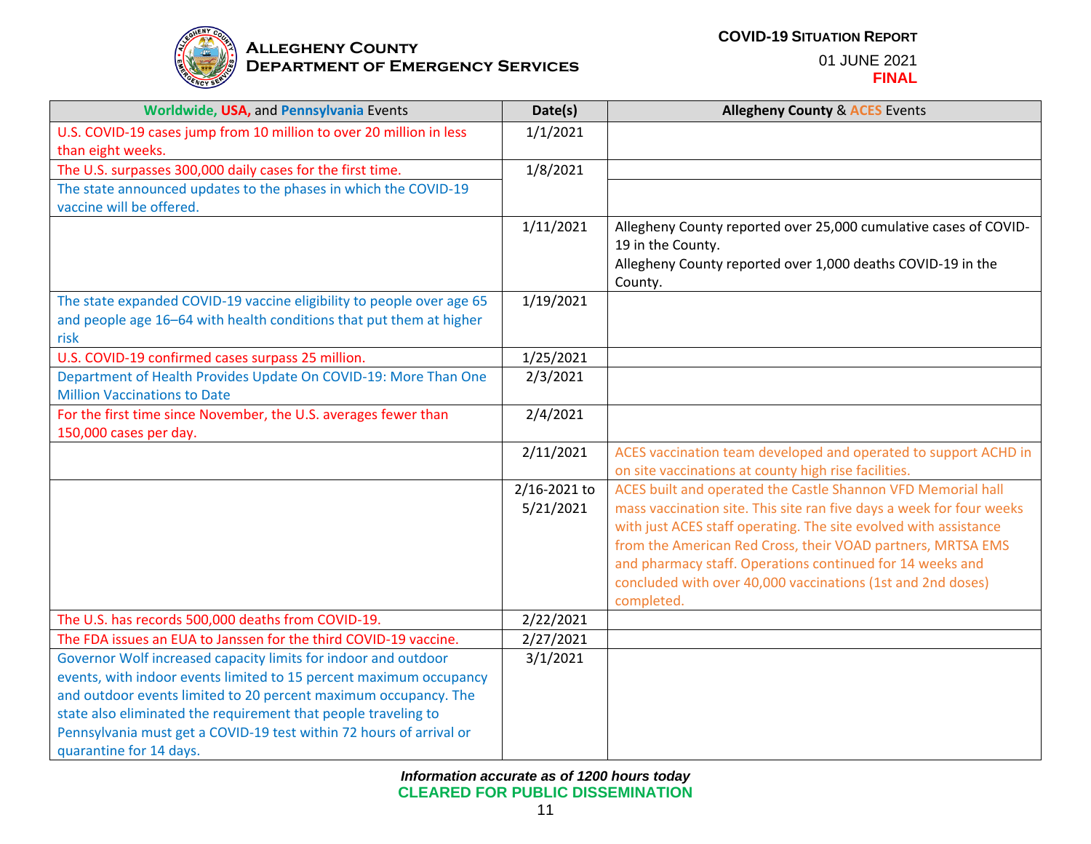

| Worldwide, USA, and Pennsylvania Events                                                                | Date(s)      | <b>Allegheny County &amp; ACES Events</b>                            |
|--------------------------------------------------------------------------------------------------------|--------------|----------------------------------------------------------------------|
| U.S. COVID-19 cases jump from 10 million to over 20 million in less                                    | 1/1/2021     |                                                                      |
| than eight weeks.                                                                                      |              |                                                                      |
| The U.S. surpasses 300,000 daily cases for the first time.                                             | 1/8/2021     |                                                                      |
| The state announced updates to the phases in which the COVID-19                                        |              |                                                                      |
| vaccine will be offered.                                                                               |              |                                                                      |
|                                                                                                        | 1/11/2021    | Allegheny County reported over 25,000 cumulative cases of COVID-     |
|                                                                                                        |              | 19 in the County.                                                    |
|                                                                                                        |              | Allegheny County reported over 1,000 deaths COVID-19 in the          |
|                                                                                                        |              | County.                                                              |
| The state expanded COVID-19 vaccine eligibility to people over age 65                                  | 1/19/2021    |                                                                      |
| and people age 16-64 with health conditions that put them at higher                                    |              |                                                                      |
| risk                                                                                                   |              |                                                                      |
| U.S. COVID-19 confirmed cases surpass 25 million.                                                      | 1/25/2021    |                                                                      |
| Department of Health Provides Update On COVID-19: More Than One<br><b>Million Vaccinations to Date</b> | 2/3/2021     |                                                                      |
| For the first time since November, the U.S. averages fewer than                                        | 2/4/2021     |                                                                      |
| 150,000 cases per day.                                                                                 |              |                                                                      |
|                                                                                                        | 2/11/2021    | ACES vaccination team developed and operated to support ACHD in      |
|                                                                                                        |              | on site vaccinations at county high rise facilities.                 |
|                                                                                                        | 2/16-2021 to | ACES built and operated the Castle Shannon VFD Memorial hall         |
|                                                                                                        | 5/21/2021    | mass vaccination site. This site ran five days a week for four weeks |
|                                                                                                        |              | with just ACES staff operating. The site evolved with assistance     |
|                                                                                                        |              | from the American Red Cross, their VOAD partners, MRTSA EMS          |
|                                                                                                        |              | and pharmacy staff. Operations continued for 14 weeks and            |
|                                                                                                        |              | concluded with over 40,000 vaccinations (1st and 2nd doses)          |
|                                                                                                        |              | completed.                                                           |
| The U.S. has records 500,000 deaths from COVID-19.                                                     | 2/22/2021    |                                                                      |
| The FDA issues an EUA to Janssen for the third COVID-19 vaccine.                                       | 2/27/2021    |                                                                      |
| Governor Wolf increased capacity limits for indoor and outdoor                                         | 3/1/2021     |                                                                      |
| events, with indoor events limited to 15 percent maximum occupancy                                     |              |                                                                      |
| and outdoor events limited to 20 percent maximum occupancy. The                                        |              |                                                                      |
| state also eliminated the requirement that people traveling to                                         |              |                                                                      |
| Pennsylvania must get a COVID-19 test within 72 hours of arrival or                                    |              |                                                                      |
| quarantine for 14 days.                                                                                |              |                                                                      |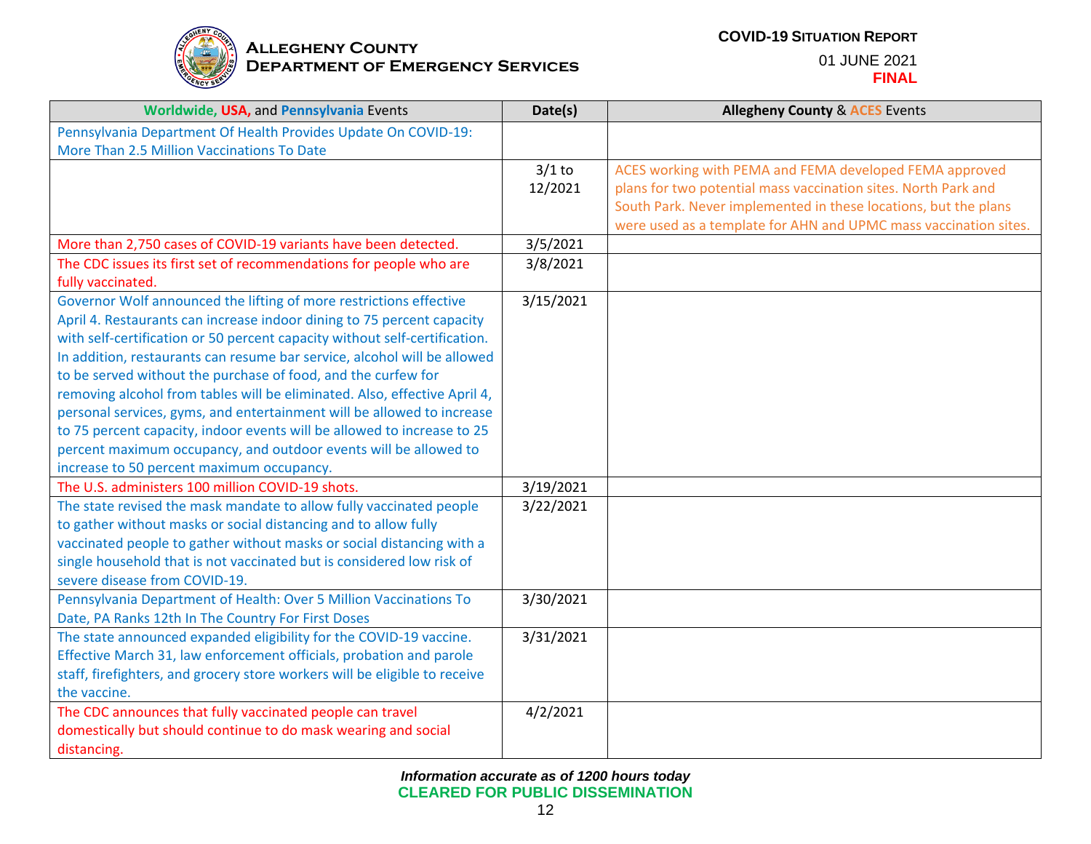

| Worldwide, USA, and Pennsylvania Events                                    | Date(s)   | <b>Allegheny County &amp; ACES Events</b>                        |
|----------------------------------------------------------------------------|-----------|------------------------------------------------------------------|
| Pennsylvania Department Of Health Provides Update On COVID-19:             |           |                                                                  |
| More Than 2.5 Million Vaccinations To Date                                 |           |                                                                  |
|                                                                            | $3/1$ to  | ACES working with PEMA and FEMA developed FEMA approved          |
|                                                                            | 12/2021   | plans for two potential mass vaccination sites. North Park and   |
|                                                                            |           | South Park. Never implemented in these locations, but the plans  |
|                                                                            |           | were used as a template for AHN and UPMC mass vaccination sites. |
| More than 2,750 cases of COVID-19 variants have been detected.             | 3/5/2021  |                                                                  |
| The CDC issues its first set of recommendations for people who are         | 3/8/2021  |                                                                  |
| fully vaccinated.                                                          |           |                                                                  |
| Governor Wolf announced the lifting of more restrictions effective         | 3/15/2021 |                                                                  |
| April 4. Restaurants can increase indoor dining to 75 percent capacity     |           |                                                                  |
| with self-certification or 50 percent capacity without self-certification. |           |                                                                  |
| In addition, restaurants can resume bar service, alcohol will be allowed   |           |                                                                  |
| to be served without the purchase of food, and the curfew for              |           |                                                                  |
| removing alcohol from tables will be eliminated. Also, effective April 4,  |           |                                                                  |
| personal services, gyms, and entertainment will be allowed to increase     |           |                                                                  |
| to 75 percent capacity, indoor events will be allowed to increase to 25    |           |                                                                  |
| percent maximum occupancy, and outdoor events will be allowed to           |           |                                                                  |
| increase to 50 percent maximum occupancy.                                  |           |                                                                  |
| The U.S. administers 100 million COVID-19 shots.                           | 3/19/2021 |                                                                  |
| The state revised the mask mandate to allow fully vaccinated people        | 3/22/2021 |                                                                  |
| to gather without masks or social distancing and to allow fully            |           |                                                                  |
| vaccinated people to gather without masks or social distancing with a      |           |                                                                  |
| single household that is not vaccinated but is considered low risk of      |           |                                                                  |
| severe disease from COVID-19.                                              |           |                                                                  |
| Pennsylvania Department of Health: Over 5 Million Vaccinations To          | 3/30/2021 |                                                                  |
| Date, PA Ranks 12th In The Country For First Doses                         |           |                                                                  |
| The state announced expanded eligibility for the COVID-19 vaccine.         | 3/31/2021 |                                                                  |
| Effective March 31, law enforcement officials, probation and parole        |           |                                                                  |
| staff, firefighters, and grocery store workers will be eligible to receive |           |                                                                  |
| the vaccine.                                                               |           |                                                                  |
| The CDC announces that fully vaccinated people can travel                  | 4/2/2021  |                                                                  |
| domestically but should continue to do mask wearing and social             |           |                                                                  |
| distancing.                                                                |           |                                                                  |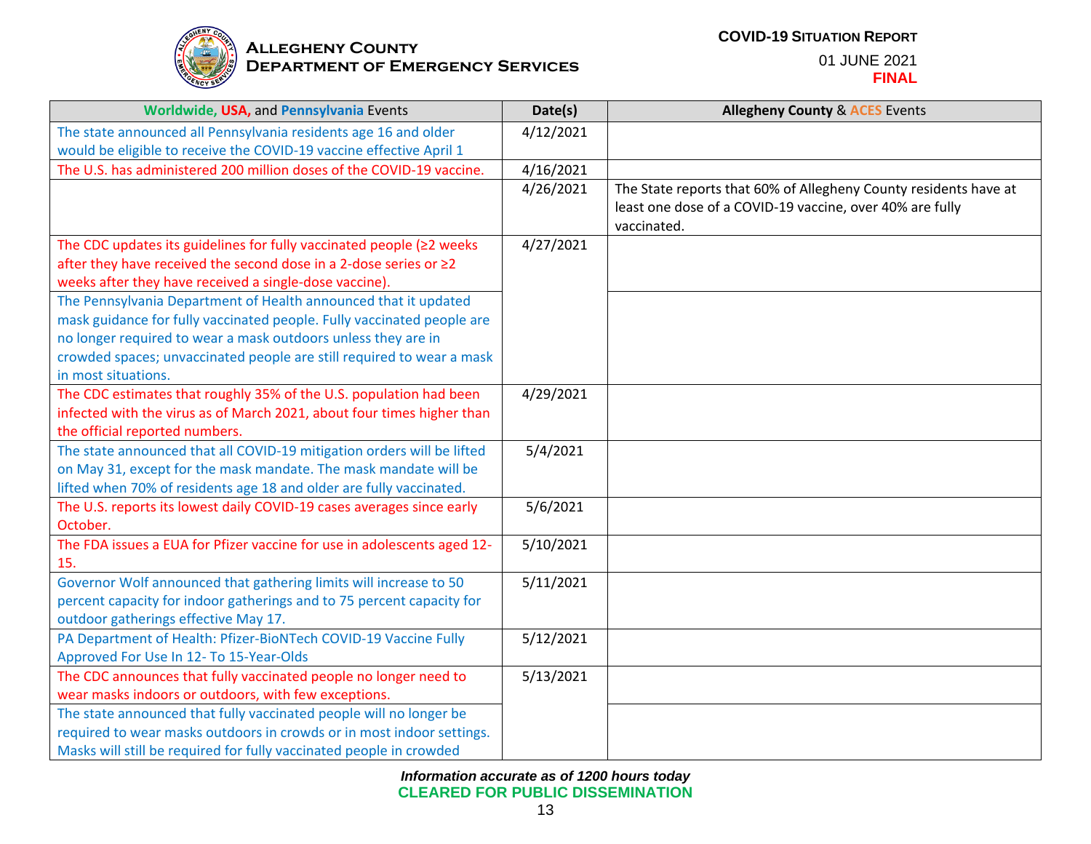

| Worldwide, USA, and Pennsylvania Events                                     | Date(s)   | <b>Allegheny County &amp; ACES Events</b>                        |
|-----------------------------------------------------------------------------|-----------|------------------------------------------------------------------|
| The state announced all Pennsylvania residents age 16 and older             | 4/12/2021 |                                                                  |
| would be eligible to receive the COVID-19 vaccine effective April 1         |           |                                                                  |
| The U.S. has administered 200 million doses of the COVID-19 vaccine.        | 4/16/2021 |                                                                  |
|                                                                             | 4/26/2021 | The State reports that 60% of Allegheny County residents have at |
|                                                                             |           | least one dose of a COVID-19 vaccine, over 40% are fully         |
|                                                                             |           | vaccinated.                                                      |
| The CDC updates its guidelines for fully vaccinated people ( $\geq$ 2 weeks | 4/27/2021 |                                                                  |
| after they have received the second dose in a 2-dose series or ≥2           |           |                                                                  |
| weeks after they have received a single-dose vaccine).                      |           |                                                                  |
| The Pennsylvania Department of Health announced that it updated             |           |                                                                  |
| mask guidance for fully vaccinated people. Fully vaccinated people are      |           |                                                                  |
| no longer required to wear a mask outdoors unless they are in               |           |                                                                  |
| crowded spaces; unvaccinated people are still required to wear a mask       |           |                                                                  |
| in most situations.                                                         |           |                                                                  |
| The CDC estimates that roughly 35% of the U.S. population had been          | 4/29/2021 |                                                                  |
| infected with the virus as of March 2021, about four times higher than      |           |                                                                  |
| the official reported numbers.                                              |           |                                                                  |
| The state announced that all COVID-19 mitigation orders will be lifted      | 5/4/2021  |                                                                  |
| on May 31, except for the mask mandate. The mask mandate will be            |           |                                                                  |
| lifted when 70% of residents age 18 and older are fully vaccinated.         |           |                                                                  |
| The U.S. reports its lowest daily COVID-19 cases averages since early       | 5/6/2021  |                                                                  |
| October.                                                                    |           |                                                                  |
| The FDA issues a EUA for Pfizer vaccine for use in adolescents aged 12-     | 5/10/2021 |                                                                  |
| 15.                                                                         |           |                                                                  |
| Governor Wolf announced that gathering limits will increase to 50           | 5/11/2021 |                                                                  |
| percent capacity for indoor gatherings and to 75 percent capacity for       |           |                                                                  |
| outdoor gatherings effective May 17.                                        |           |                                                                  |
| PA Department of Health: Pfizer-BioNTech COVID-19 Vaccine Fully             | 5/12/2021 |                                                                  |
| Approved For Use In 12- To 15-Year-Olds                                     |           |                                                                  |
| The CDC announces that fully vaccinated people no longer need to            | 5/13/2021 |                                                                  |
| wear masks indoors or outdoors, with few exceptions.                        |           |                                                                  |
| The state announced that fully vaccinated people will no longer be          |           |                                                                  |
| required to wear masks outdoors in crowds or in most indoor settings.       |           |                                                                  |
| Masks will still be required for fully vaccinated people in crowded         |           |                                                                  |